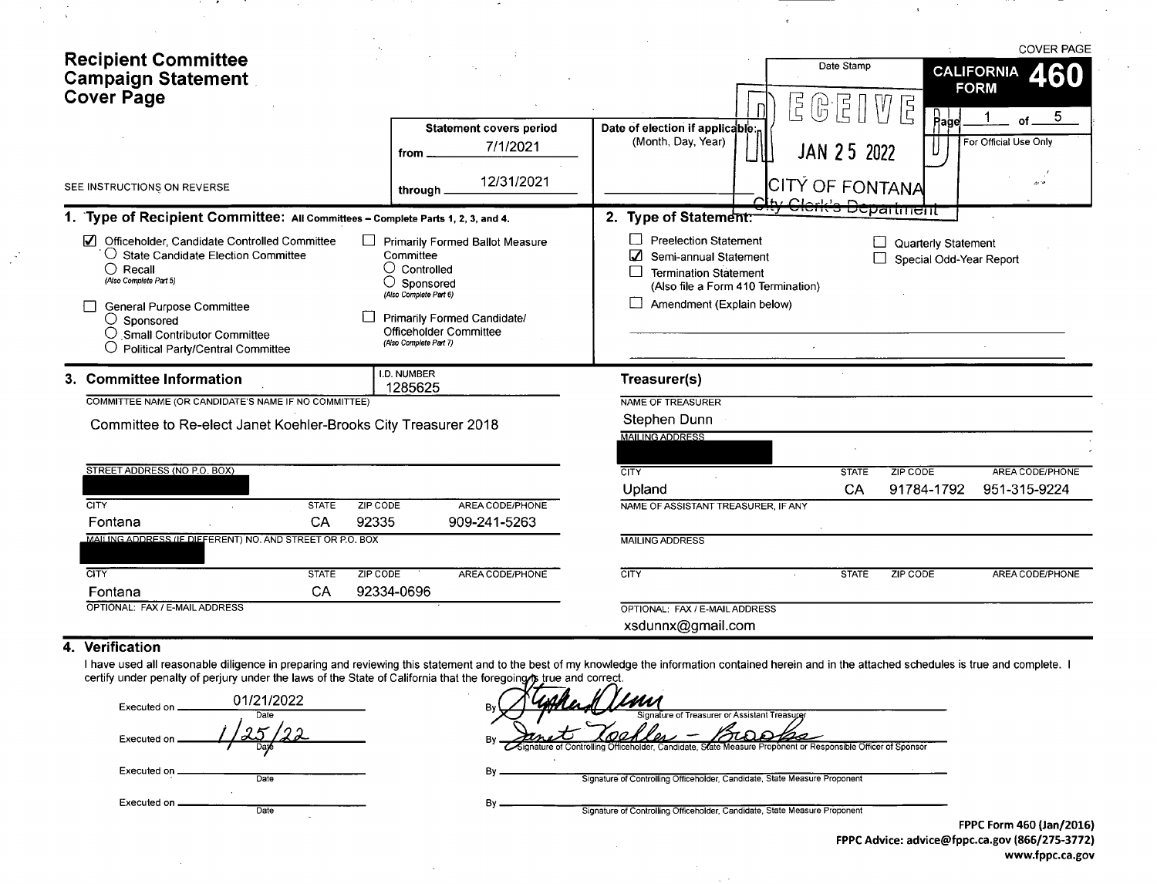| <b>Recipient Committee</b><br><b>Campaign Statement</b><br><b>Cover Page</b>                                                                                                                                                                                                          |                                                                                                                                                                                                        |                                                                                                                                                          | Date Stamp<br>$\frac{1}{2}$<br>ြု     | Ę                                              | <b>COVER PAGE</b><br><b>CALIFORNIA</b><br>460<br><b>FORM</b><br>5 <sub>5</sub> |
|---------------------------------------------------------------------------------------------------------------------------------------------------------------------------------------------------------------------------------------------------------------------------------------|--------------------------------------------------------------------------------------------------------------------------------------------------------------------------------------------------------|----------------------------------------------------------------------------------------------------------------------------------------------------------|---------------------------------------|------------------------------------------------|--------------------------------------------------------------------------------|
|                                                                                                                                                                                                                                                                                       | <b>Statement covers period</b><br>7/1/2021<br>from .                                                                                                                                                   | Date of election if applicable:<br>(Month, Day, Year)                                                                                                    | JAN 25 2022                           | $\mathsf{Page}$                                | of.<br>For Official Use Only                                                   |
| SEE INSTRUCTIONS ON REVERSE                                                                                                                                                                                                                                                           | 12/31/2021<br>through                                                                                                                                                                                  |                                                                                                                                                          | CITY OF FONTANA<br>$\Gamma$ chy Clark |                                                |                                                                                |
| 1. Type of Recipient Committee: All Committees - Complete Parts 1, 2, 3, and 4.                                                                                                                                                                                                       |                                                                                                                                                                                                        | 2. Type of Statement:                                                                                                                                    | <del>-Clerk's Departmeht</del>        |                                                |                                                                                |
| ☑<br>Officeholder, Candidate Controlled Committee<br>$\bigcirc$ State Candidate Election Committee<br>$\bigcirc$ Recall<br>(Also Complete Part 5)<br>General Purpose Committee<br>$\bigcirc$ Sponsored<br>Small Contributor Committee<br>$\bigcirc$ Political Party/Central Committee | <b>Primarily Formed Ballot Measure</b><br>Committee<br>$\bigcirc$ Controlled<br>Sponsored<br>(Also Complete Part 6)<br>Primarily Formed Candidate/<br>Officeholder Committee<br>(Also Complete Part 7) | <b>Preelection Statement</b><br>Semi-annual Statement<br><b>Termination Statement</b><br>(Also file a Form 410 Termination)<br>Amendment (Explain below) |                                       | Quarterly Statement<br>Special Odd-Year Report |                                                                                |
| 3. Committee Information                                                                                                                                                                                                                                                              | I.D. NUMBER<br>1285625                                                                                                                                                                                 | Treasurer(s)                                                                                                                                             |                                       |                                                |                                                                                |
| COMMITTEE NAME (OR CANDIDATE'S NAME IF NO COMMITTEE)                                                                                                                                                                                                                                  |                                                                                                                                                                                                        | NAME OF TREASURER                                                                                                                                        |                                       |                                                |                                                                                |
| Committee to Re-elect Janet Koehler-Brooks City Treasurer 2018                                                                                                                                                                                                                        |                                                                                                                                                                                                        | Stephen Dunn                                                                                                                                             |                                       |                                                |                                                                                |
|                                                                                                                                                                                                                                                                                       |                                                                                                                                                                                                        | <b>MAILING ADDRESS</b>                                                                                                                                   |                                       |                                                |                                                                                |
| STREET ADDRESS (NO P.O. BOX)                                                                                                                                                                                                                                                          |                                                                                                                                                                                                        | CITY                                                                                                                                                     | <b>STATE</b>                          | ZIP CODE                                       | AREA CODE/PHONE                                                                |
| <b>CITY</b>                                                                                                                                                                                                                                                                           |                                                                                                                                                                                                        | Upland                                                                                                                                                   | CA                                    | 91784-1792                                     | 951-315-9224                                                                   |
| ZIP CODE<br><b>STATE</b><br>CA<br>92335<br>Fontana                                                                                                                                                                                                                                    | AREA CODE/PHONE<br>909-241-5263                                                                                                                                                                        | NAME OF ASSISTANT TREASURER. IF ANY                                                                                                                      |                                       |                                                |                                                                                |
| MAILING ADDRESS (IF DIFFERENT) NO. AND STREET OR P.O. BOX                                                                                                                                                                                                                             |                                                                                                                                                                                                        | <b>MAILING ADDRESS</b>                                                                                                                                   |                                       |                                                |                                                                                |
| $\overline{\text{CITY}}$<br>ZIP CODE<br><b>STATE</b>                                                                                                                                                                                                                                  | AREA CODE/PHONE                                                                                                                                                                                        | <b>CITY</b>                                                                                                                                              | <b>STATE</b>                          | <b>ZIP CODE</b>                                | AREA CODE/PHONE                                                                |
| CA<br>92334-0696<br>Fontana                                                                                                                                                                                                                                                           |                                                                                                                                                                                                        |                                                                                                                                                          |                                       |                                                |                                                                                |
| OPTIONAL: FAX / E-MAIL ADDRESS                                                                                                                                                                                                                                                        |                                                                                                                                                                                                        | OPTIONAL: FAX / E-MAIL ADDRESS<br>xsdunnx@gmail.com                                                                                                      |                                       |                                                |                                                                                |

### 4. Verification

 $\frac{1}{\sqrt{2}}$ 

 $\sim$ 

 $\mathbb{R}^2$ 

 $\mathcal{L}$ 

I have used all reasonable diligence in preparing and reviewing this statement and to the best of my knowledge the information contained herein and in the attached schedules is true and complete. I<br>certify under penalty of

| Executed on   | 01/21/2022   | ۰.<br>Bv                                                                                                                                                               |                      |
|---------------|--------------|------------------------------------------------------------------------------------------------------------------------------------------------------------------------|----------------------|
| Executed on   | Date<br>Date | Signature of Treasurer or Assistant Treasurer<br><b>Englisher Controlling Officeholder, Candidate, State Measure Proponent or Responsible Officer of Sponsor</b><br>Bv |                      |
| Executed on   | Date         | B٧<br>Signature of Controlling Officeholder, Candidate, State Measure Proponent                                                                                        |                      |
| Executed on . | Date         | В٧<br>Signature of Controlling Officeholder, Candidate, State Measure Proponent                                                                                        | FPPC Form 460 (Jan/2 |
|               |              |                                                                                                                                                                        |                      |

 $\sim$ 

FPPC Form 460 (Jan/2016)<br>FPPC Advice: advice@fppc.ca.gov (866/275-3772) www.fppc.ca.gov

——

 $\pm$ 

 $\cdot$ 

and the state

 $\sim$ 

 $\sim$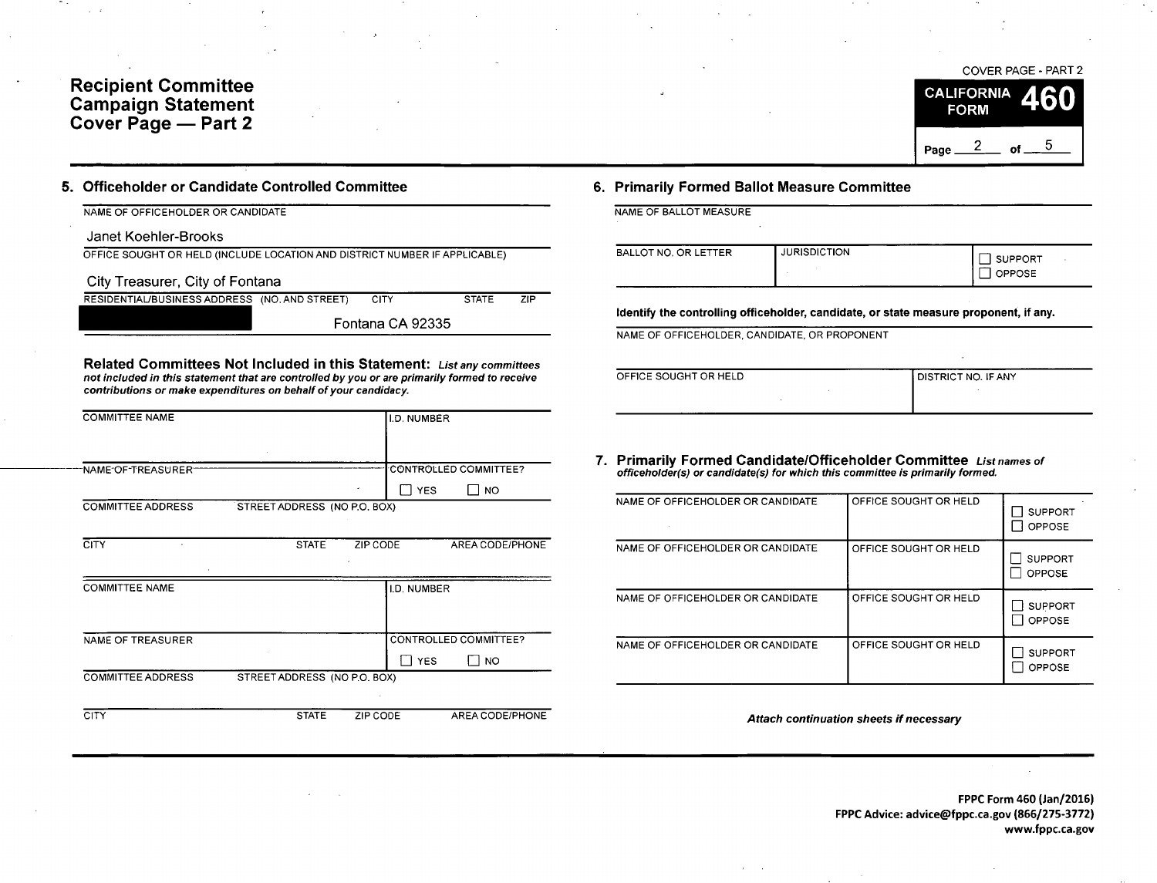# Recipient Committee Campaign Statemen Cover Page — Part 2



## 5. Officeholder or Candidate Controlled Committee 6. Primarily Formed Ballot Measure Committee

| NAME OF OFFICEHOLDER OR CANDIDATE | NAME OF BALLOT MEASURE |
|-----------------------------------|------------------------|

## Janet Koehler-Brooks

OFFICE SOUGHT OR HELD ( INCLUDE LOCATION AND DISTRICT NUMBER IF APPLICABLE)

City Treasurer, City of Fontana

| RESIDENTIAL/BUSINESS ADDRESS (NO. AND STREET) | 7IP          |
|-----------------------------------------------|--------------|
| CITY                                          | <b>STATE</b> |
| Fontana CA 92335                              |              |

Related Committees Not Included in this Statement: List any committees not included in this statement that are controlled by you or are primarily formed to receive contributions or make expenditures on behalf of your candidacy.

| <b>COMMITTEE NAME</b>    |                              | I.D. NUMBER |                       |
|--------------------------|------------------------------|-------------|-----------------------|
|                          |                              |             |                       |
|                          |                              |             |                       |
| NAME OF TREASURER        |                              |             | CONTROLLED COMMITTEE? |
|                          |                              | I YES       | NO.                   |
| <b>COMMITTEE ADDRESS</b> | STREET ADDRESS (NO P.O. BOX) |             |                       |

CITY STATE ZIP CODE AREA CODE/PHONE

| <b>COMMITTEE NAME</b>    |                              | <b>II.D. NUMBER</b> |                       |
|--------------------------|------------------------------|---------------------|-----------------------|
|                          |                              |                     |                       |
| NAME OF TREASURER        |                              |                     | CONTROLLED COMMITTEE? |
|                          |                              |                     |                       |
|                          |                              | <b>YES</b>          | NO <sub>1</sub>       |
| <b>COMMITTEE ADDRESS</b> | STREET ADDRESS (NO P.O. BOX) |                     |                       |
|                          |                              |                     |                       |

CITY CHE STATE ZIP CODE AREA CODE/PHONE

|  | NAME OF BALLOT MEASURE |  |
|--|------------------------|--|

| BALLOT NO. OR LETTER | <b>JURISDICTION</b> | <b>SUPPORT</b><br><b>OPPOSE</b> |
|----------------------|---------------------|---------------------------------|
|----------------------|---------------------|---------------------------------|

Identify the controlling officeholder, candidate, or state measure proponent, if any.

NAME OF OFFICEHOLDER, CANDIDATE, OR PROPONENT

| OFFICE SOUGHT OR HELD | <b>I DISTRICT NO. IF ANY</b> |
|-----------------------|------------------------------|
|                       |                              |
|                       |                              |
|                       |                              |

7. Primarily Formed Candidate/Officeholder Committee List names of officeholder( s) or candidate( s) for which this committee is primarily formed.

| NAME OF OFFICEHOLDER OR CANDIDATE | OFFICE SOUGHT OR HELD | <b>SUPPORT</b><br><b>OPPOSE</b> |
|-----------------------------------|-----------------------|---------------------------------|
| NAME OF OFFICEHOLDER OR CANDIDATE | OFFICE SOUGHT OR HELD | <b>SUPPORT</b><br><b>OPPOSE</b> |
| NAME OF OFFICEHOLDER OR CANDIDATE | OFFICE SOUGHT OR HELD | <b>SUPPORT</b><br><b>OPPOSE</b> |
| NAME OF OFFICEHOLDER OR CANDIDATE | OFFICE SOUGHT OR HELD | <b>SUPPORT</b><br><b>OPPOSE</b> |

Attach continuation sheets if necessary

FPPC Form 460 ( Jan/ 2016) FPPC Advice: advice@fppc.ca.gov (866/275-3772) www.fppc.ca.gov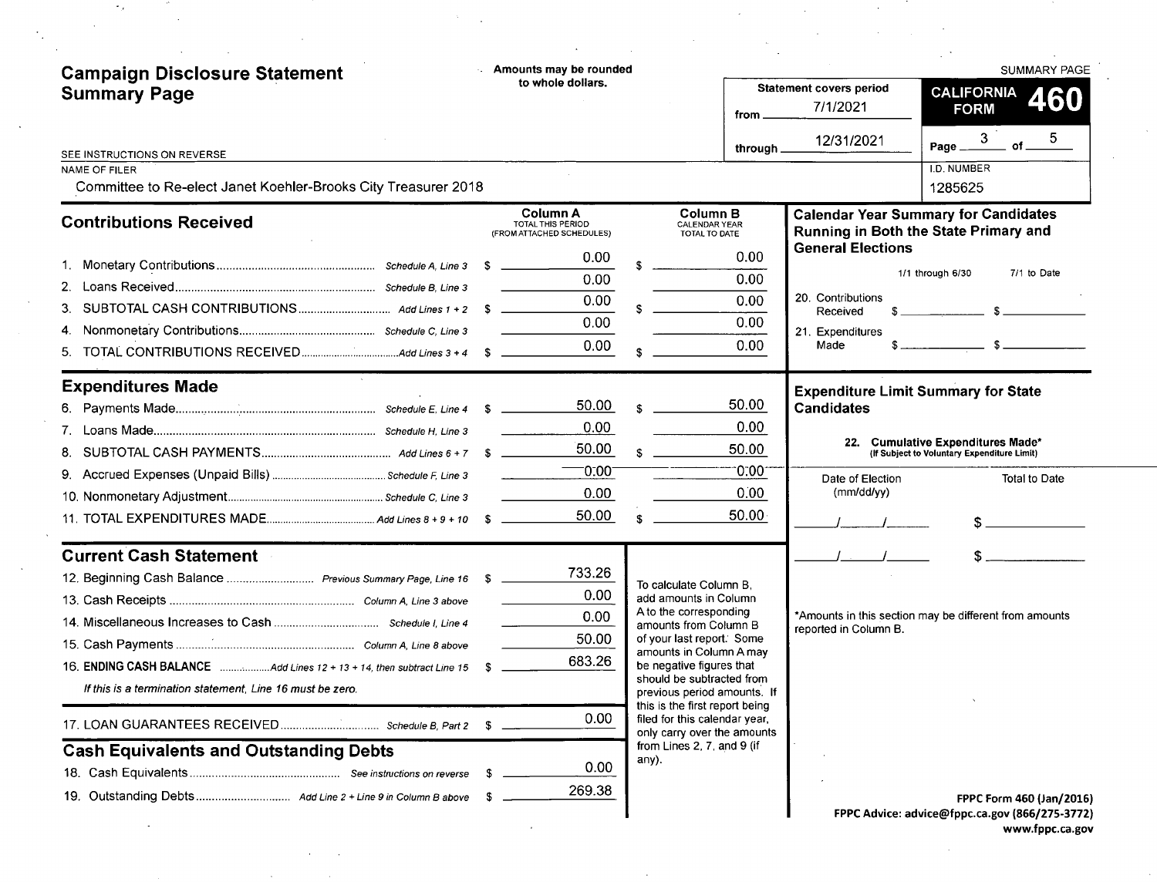| <b>Campaign Disclosure Statement</b>                                                   |    | - Amounts may be rounded                                          |              |                                                                                                |                                            | <b>SUMMARY PAGE</b>                                                                      |
|----------------------------------------------------------------------------------------|----|-------------------------------------------------------------------|--------------|------------------------------------------------------------------------------------------------|--------------------------------------------|------------------------------------------------------------------------------------------|
| <b>Summary Page</b>                                                                    |    | to whole dollars.                                                 |              | from .                                                                                         | <b>Statement covers period</b><br>7/1/2021 | <b>CALIFORNIA</b><br>460<br><b>FORM</b>                                                  |
| SEE INSTRUCTIONS ON REVERSE                                                            |    |                                                                   |              | through $\_$                                                                                   | 12/31/2021                                 | 3 <sup>2</sup><br>5.<br>of<br>Page __                                                    |
| <b>NAME OF FILER</b><br>Committee to Re-elect Janet Koehler-Brooks City Treasurer 2018 |    |                                                                   |              |                                                                                                |                                            | I.D. NUMBER<br>1285625                                                                   |
| <b>Contributions Received</b>                                                          |    | <b>Column A</b><br>TOTAL THIS PERIOD<br>(FROM ATTACHED SCHEDULES) |              | <b>Column B</b><br>CALENDAR YEAR<br>TOTAL TO DATE                                              |                                            | <b>Calendar Year Summary for Candidates</b><br>Running in Both the State Primary and     |
|                                                                                        |    | 0.00                                                              |              | 0.00                                                                                           | <b>General Elections</b>                   |                                                                                          |
|                                                                                        |    | 0.00                                                              |              | 0.00                                                                                           |                                            | 1/1 through 6/30<br>7/1 to Date                                                          |
|                                                                                        |    | 0.00                                                              |              | 0.00                                                                                           | 20. Contributions<br>Received              | $\overline{\phantom{a}3}$ $\overline{\phantom{a}3}$                                      |
|                                                                                        |    | 0.00                                                              |              | 0.00                                                                                           | 21. Expenditures                           | $\mathbb{S}$                                                                             |
|                                                                                        |    | 0.00                                                              |              | 0.00                                                                                           | Made                                       |                                                                                          |
| <b>Expenditures Made</b>                                                               |    |                                                                   |              |                                                                                                |                                            | <b>Expenditure Limit Summary for State</b>                                               |
|                                                                                        |    | 50.00                                                             | $\mathbf{r}$ | 50.00                                                                                          | <b>Candidates</b>                          |                                                                                          |
|                                                                                        |    | 0.00                                                              |              | 0.00                                                                                           |                                            | 22. Cumulative Expenditures Made*                                                        |
|                                                                                        |    | 50.00                                                             | $\mathbf{s}$ | 50.00                                                                                          |                                            | (If Subject to Voluntary Expenditure Limit)                                              |
|                                                                                        |    | $-0.00 -$                                                         |              | 0.00                                                                                           | Date of Election<br>(mm/dd/yy)             | Total to Date                                                                            |
|                                                                                        |    | 0.00<br>50.00                                                     |              | 0.00<br>50.00 <sub>1</sub>                                                                     |                                            |                                                                                          |
|                                                                                        |    |                                                                   |              |                                                                                                |                                            |                                                                                          |
| <b>Current Cash Statement</b>                                                          |    |                                                                   |              |                                                                                                |                                            |                                                                                          |
|                                                                                        |    | 733.26                                                            |              | To calculate Column B,                                                                         |                                            |                                                                                          |
|                                                                                        |    | 0.00<br>0.00                                                      |              | add amounts in Column<br>A to the corresponding                                                |                                            | *Amounts in this section may be different from amounts                                   |
|                                                                                        |    | 50.00                                                             |              | amounts from Column B<br>of your last report. Some                                             | reported in Column B.                      |                                                                                          |
|                                                                                        |    | 683.26                                                            |              | amounts in Column A may                                                                        |                                            |                                                                                          |
| If this is a termination statement, Line 16 must be zero.                              |    |                                                                   |              | be negative figures that<br>should be subtracted from<br>previous period amounts. If           |                                            |                                                                                          |
|                                                                                        | -S | 0.00                                                              |              | this is the first report being<br>filed for this calendar year,<br>only carry over the amounts |                                            |                                                                                          |
| <b>Cash Equivalents and Outstanding Debts</b>                                          |    |                                                                   | any).        | from Lines 2, 7, and 9 (if                                                                     |                                            |                                                                                          |
|                                                                                        |    | 0.00                                                              |              |                                                                                                |                                            |                                                                                          |
|                                                                                        |    | 269.38                                                            |              |                                                                                                |                                            | <b>FPPC Form 460 (Jan/2016)</b><br><b>EPPC Advice: advicement ca. gov (866/275-3772)</b> |

 $\sim 10^7$ 

 $\Delta \sim 10^4$ 

 $\mathcal{F}_{\mathcal{G}}$ 

FPPC Advice: advice@fppc. ca. gov ( 866/ 275- 3772) www.fppc.ca.gov

 $\sim$ 

 $\mathcal{L}_{\mathcal{A}}$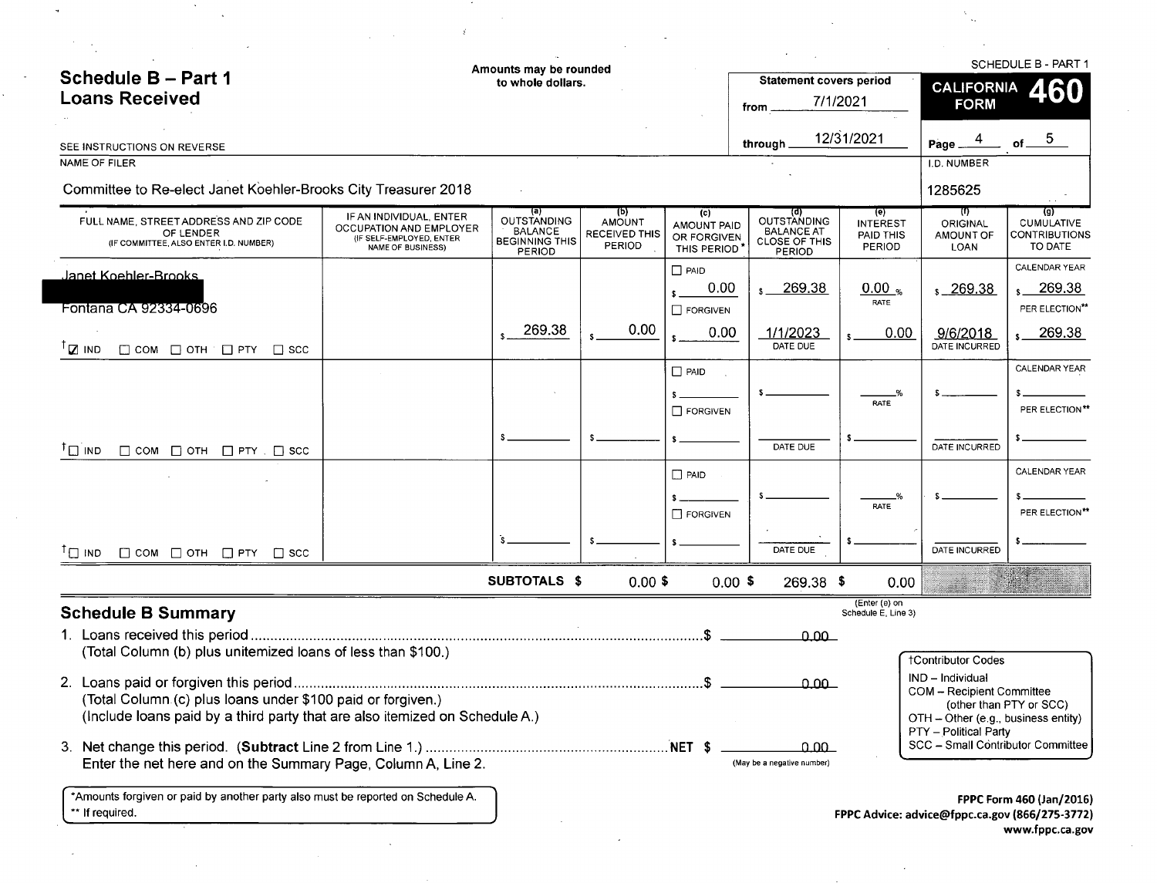|                                                                                                                                            |                                                                                                            | Amounts may be rounded                                                  |                                                 |                                                  |                                                                                  |                                                      |                                                                            | <b>SCHEDULE B - PART 1</b>                                                 |
|--------------------------------------------------------------------------------------------------------------------------------------------|------------------------------------------------------------------------------------------------------------|-------------------------------------------------------------------------|-------------------------------------------------|--------------------------------------------------|----------------------------------------------------------------------------------|------------------------------------------------------|----------------------------------------------------------------------------|----------------------------------------------------------------------------|
| <b>Schedule B-Part 1</b>                                                                                                                   |                                                                                                            | to whole dollars.                                                       |                                                 |                                                  | <b>Statement covers period</b>                                                   |                                                      | <b>CALIFORNIA</b>                                                          | 460                                                                        |
| <b>Loans Received</b>                                                                                                                      |                                                                                                            |                                                                         |                                                 |                                                  | from .                                                                           | 7/1/2021                                             | <b>FORM</b>                                                                |                                                                            |
| SEE INSTRUCTIONS ON REVERSE                                                                                                                |                                                                                                            |                                                                         |                                                 |                                                  | through                                                                          | 12/31/2021                                           | Page.                                                                      | 5 <sub>1</sub>                                                             |
| NAME OF FILER                                                                                                                              |                                                                                                            |                                                                         |                                                 |                                                  |                                                                                  |                                                      | I.D. NUMBER                                                                |                                                                            |
| Committee to Re-elect Janet Koehler-Brooks City Treasurer 2018                                                                             |                                                                                                            |                                                                         |                                                 |                                                  |                                                                                  |                                                      | 1285625                                                                    |                                                                            |
| FULL NAME, STREET ADDRESS AND ZIP CODE<br>OF LENDER<br>(IF COMMITTEE, ALSO ENTER I.D. NUMBER)                                              | IF AN INDIVIDUAL, ENTER<br><b>OCCUPATION AND EMPLOYER</b><br>(IF SELF-EMPLOYED, ENTER<br>NAME OF BUSINESS) | (a)<br>OUTSTANDING<br><b>BALANCE</b><br><b>BEGINNING THIS</b><br>PERIOD | (p)<br><b>AMOUNT</b><br>RECEIVED THIS<br>PERIOD | (c)<br>AMOUNT PAID<br>OR FORGIVEN<br>THIS PERIOD | (व)<br><b>OUTSTANDING</b><br><b>BALANCE AT</b><br><b>CLOSE OF THIS</b><br>PERIOD | (e)<br><b>INTEREST</b><br>PAID THIS<br><b>PERIOD</b> | $(\mathbf{r})$<br>ORIGINAL<br>AMOUNT OF<br>LOAN                            | $\left( 9 \right)$<br><b>CUMULATIVE</b><br><b>CONTRIBUTIONS</b><br>TO DATE |
| Janet Koehler-Brooks                                                                                                                       |                                                                                                            |                                                                         |                                                 | $\Box$ PAID                                      |                                                                                  |                                                      |                                                                            | CALENDAR YEAR                                                              |
|                                                                                                                                            |                                                                                                            |                                                                         |                                                 | 0.00                                             | $s = 269.38$                                                                     | $0.00_{\%}$                                          | $s - 269.38$                                                               | $s$ 269.38                                                                 |
| Fontana CA 92334-0696                                                                                                                      |                                                                                                            |                                                                         |                                                 | $\Box$ FORGIVEN                                  |                                                                                  | RATE                                                 |                                                                            | PER ELECTION**                                                             |
| $T_{\square}$ IND<br>$\Box$ COM $\Box$ OTH $\Box$ PTY<br>$\Box$ scc                                                                        |                                                                                                            | 269.38                                                                  | 0.00                                            | 0.00                                             | 1/1/2023<br>DATE DUE                                                             | 0.00                                                 | 9/6/2018<br>DATE INCURRED                                                  | 269.38                                                                     |
|                                                                                                                                            |                                                                                                            |                                                                         |                                                 | $\Box$ PAID                                      |                                                                                  |                                                      |                                                                            | CALENDAR YEAR                                                              |
|                                                                                                                                            |                                                                                                            |                                                                         |                                                 |                                                  |                                                                                  |                                                      |                                                                            |                                                                            |
|                                                                                                                                            |                                                                                                            |                                                                         |                                                 | $\Box$ FORGIVEN                                  |                                                                                  | RATE                                                 |                                                                            | PER ELECTION**                                                             |
| $\mathsf{I} \sqcap \mathsf{I}$ פאו<br>$\Box$ COM $\Box$ OTH $\Box$ PTY $\Box$ SCC                                                          |                                                                                                            |                                                                         |                                                 |                                                  | DATE DUE                                                                         |                                                      | DATE INCURRED                                                              |                                                                            |
|                                                                                                                                            |                                                                                                            |                                                                         |                                                 | $\Box$ PAID                                      |                                                                                  |                                                      |                                                                            | CALENDAR YEAR                                                              |
|                                                                                                                                            |                                                                                                            |                                                                         |                                                 |                                                  |                                                                                  |                                                      |                                                                            |                                                                            |
|                                                                                                                                            |                                                                                                            |                                                                         |                                                 | $\Box$ FORGIVEN                                  |                                                                                  | RATE                                                 |                                                                            | PER ELECTION**                                                             |
| $^{\dagger}$ $\Box$ ind $\Box$ COM $\Box$ OTH $\Box$ PTY $\Box$ SCC                                                                        |                                                                                                            |                                                                         |                                                 |                                                  | DATE DUE                                                                         |                                                      | DATE INCURRED                                                              |                                                                            |
|                                                                                                                                            |                                                                                                            | SUBTOTALS \$                                                            | $0.00$ \$                                       |                                                  | $0.00$ \$<br>269.38 \$                                                           | 0.00                                                 |                                                                            |                                                                            |
| <b>Schedule B Summary</b>                                                                                                                  |                                                                                                            |                                                                         |                                                 |                                                  |                                                                                  | (Enter (e) on<br>Schedule E, Line 3)                 |                                                                            |                                                                            |
| 1. Loans received this period                                                                                                              |                                                                                                            |                                                                         |                                                 |                                                  |                                                                                  |                                                      |                                                                            |                                                                            |
| (Total Column (b) plus unitemized loans of less than \$100.)                                                                               |                                                                                                            |                                                                         |                                                 |                                                  | 0.00                                                                             |                                                      |                                                                            |                                                                            |
|                                                                                                                                            |                                                                                                            |                                                                         |                                                 |                                                  |                                                                                  |                                                      | <b>†Contributor Codes</b>                                                  |                                                                            |
|                                                                                                                                            |                                                                                                            |                                                                         |                                                 |                                                  | $0.00 -$                                                                         |                                                      | IND - Individual<br>COM - Recipient Committee                              |                                                                            |
| (Total Column (c) plus loans under \$100 paid or forgiven.)<br>(Include loans paid by a third party that are also itemized on Schedule A.) |                                                                                                            |                                                                         |                                                 |                                                  |                                                                                  |                                                      | (other than PTY or SCC)<br>OTH - Other (e.g., business entity)             |                                                                            |
|                                                                                                                                            |                                                                                                            |                                                                         |                                                 |                                                  |                                                                                  |                                                      | PTY - Political Party                                                      |                                                                            |
|                                                                                                                                            |                                                                                                            |                                                                         |                                                 |                                                  | ൧൧൨                                                                              |                                                      | SCC - Small Contributor Committee                                          |                                                                            |
| Enter the net here and on the Summary Page, Column A, Line 2.                                                                              |                                                                                                            |                                                                         |                                                 |                                                  | (May be a negative number)                                                       |                                                      |                                                                            |                                                                            |
| *Amounts forgiven or paid by another party also must be reported on Schedule A.<br>** If required.                                         |                                                                                                            |                                                                         |                                                 |                                                  |                                                                                  |                                                      | FPPC Form 460 (Jan/2016)<br>FPPC Advice: advice@fppc.ca.gov (866/275-3772) |                                                                            |
|                                                                                                                                            |                                                                                                            |                                                                         |                                                 |                                                  |                                                                                  |                                                      |                                                                            |                                                                            |

 $\sim 10^{-10}$ 

 $\mathcal{O}(\mathcal{O}(\log n))$